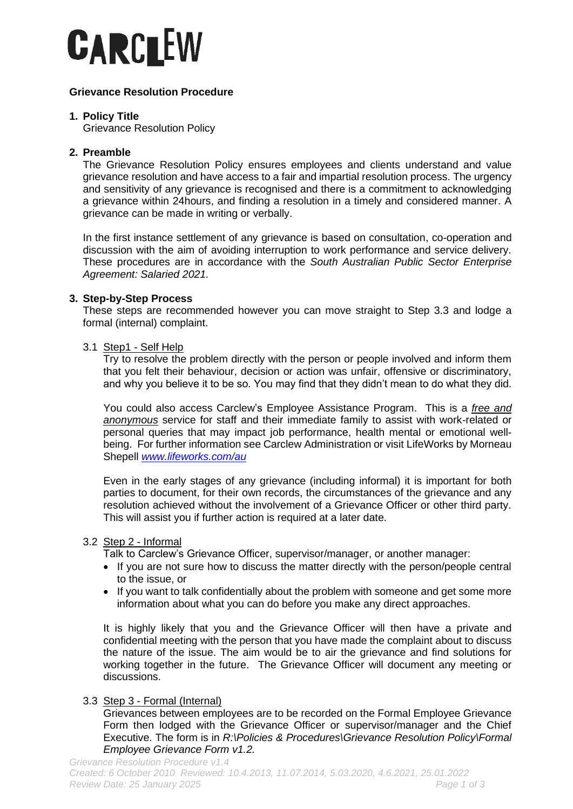

# **Grievance Resolution Procedure**

## **1. Policy Title**

Grievance Resolution Policy

## **2. Preamble**

The Grievance Resolution Policy ensures employees and clients understand and value grievance resolution and have access to a fair and impartial resolution process. The urgency and sensitivity of any grievance is recognised and there is a commitment to acknowledging a grievance within 24hours, and finding a resolution in a timely and considered manner. A grievance can be made in writing or verbally.

In the first instance settlement of any grievance is based on consultation, co-operation and discussion with the aim of avoiding interruption to work performance and service delivery. These procedures are in accordance with the *South Australian Public Sector Enterprise Agreement: Salaried 2021.*

## **3. Step-by-Step Process**

These steps are recommended however you can move straight to Step 3.3 and lodge a formal (internal) complaint.

### 3.1 Step1 - Self Help

Try to resolve the problem directly with the person or people involved and inform them that you felt their behaviour, decision or action was unfair, offensive or discriminatory, and why you believe it to be so. You may find that they didn't mean to do what they did.

You could also access Carclew's Employee Assistance Program. This is a *free and anonymous* service for staff and their immediate family to assist with work-related or personal queries that may impact job performance, health mental or emotional wellbeing. For further information see Carclew Administration or visit LifeWorks by Morneau Shepell *[www.lifeworks.com/au](http://www.lifeworks.com/au)*

Even in the early stages of any grievance (including informal) it is important for both parties to document, for their own records, the circumstances of the grievance and any resolution achieved without the involvement of a Grievance Officer or other third party. This will assist you if further action is required at a later date.

## 3.2 Step 2 - Informal

Talk to Carclew's Grievance Officer, supervisor/manager, or another manager:

- If you are not sure how to discuss the matter directly with the person/people central to the issue, or
- If you want to talk confidentially about the problem with someone and get some more information about what you can do before you make any direct approaches.

It is highly likely that you and the Grievance Officer will then have a private and confidential meeting with the person that you have made the complaint about to discuss the nature of the issue. The aim would be to air the grievance and find solutions for working together in the future. The Grievance Officer will document any meeting or discussions.

# 3.3 Step 3 - Formal (Internal)

Grievances between employees are to be recorded on the Formal Employee Grievance Form then lodged with the Grievance Officer or supervisor/manager and the Chief Executive. The form is in *R:\Policies & Procedures\Grievance Resolution Policy\Formal Employee Grievance Form v1.2.*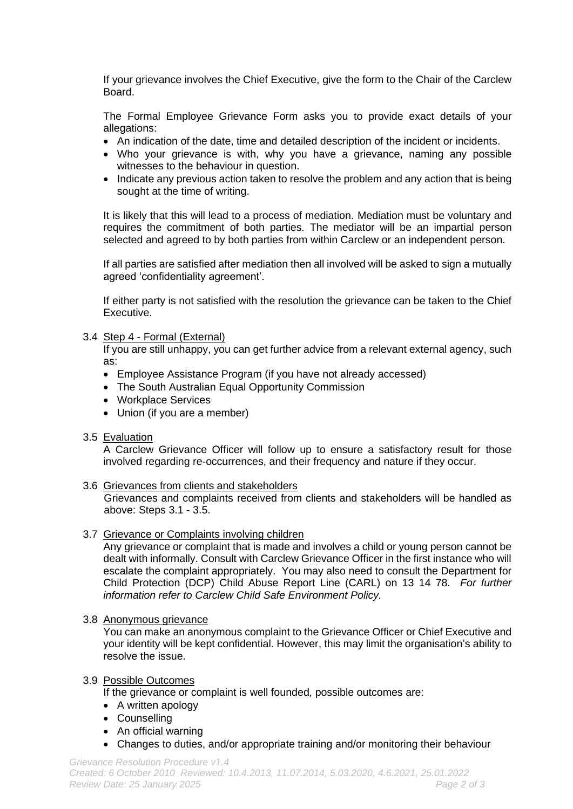If your grievance involves the Chief Executive, give the form to the Chair of the Carclew Board.

The Formal Employee Grievance Form asks you to provide exact details of your allegations:

- An indication of the date, time and detailed description of the incident or incidents.
- Who your grievance is with, why you have a grievance, naming any possible witnesses to the behaviour in question.
- Indicate any previous action taken to resolve the problem and any action that is being sought at the time of writing.

It is likely that this will lead to a process of mediation. Mediation must be voluntary and requires the commitment of both parties. The mediator will be an impartial person selected and agreed to by both parties from within Carclew or an independent person.

If all parties are satisfied after mediation then all involved will be asked to sign a mutually agreed 'confidentiality agreement'.

If either party is not satisfied with the resolution the grievance can be taken to the Chief Executive.

## 3.4 Step 4 - Formal (External)

If you are still unhappy, you can get further advice from a relevant external agency, such as:

- Employee Assistance Program (if you have not already accessed)
- The South Australian Equal Opportunity Commission
- Workplace Services
- Union (if you are a member)

#### 3.5 Evaluation

A Carclew Grievance Officer will follow up to ensure a satisfactory result for those involved regarding re-occurrences, and their frequency and nature if they occur.

#### 3.6 Grievances from clients and stakeholders

Grievances and complaints received from clients and stakeholders will be handled as above: Steps 3.1 - 3.5.

#### 3.7 Grievance or Complaints involving children

Any grievance or complaint that is made and involves a child or young person cannot be dealt with informally. Consult with Carclew Grievance Officer in the first instance who will escalate the complaint appropriately. You may also need to consult the Department for Child Protection (DCP) Child Abuse Report Line (CARL) on 13 14 78. *For further information refer to Carclew Child Safe Environment Policy.*

#### 3.8 Anonymous grievance

You can make an anonymous complaint to the Grievance Officer or Chief Executive and your identity will be kept confidential. However, this may limit the organisation's ability to resolve the issue.

## 3.9 Possible Outcomes

If the grievance or complaint is well founded, possible outcomes are:

- A written apology
- Counselling
- An official warning
- Changes to duties, and/or appropriate training and/or monitoring their behaviour